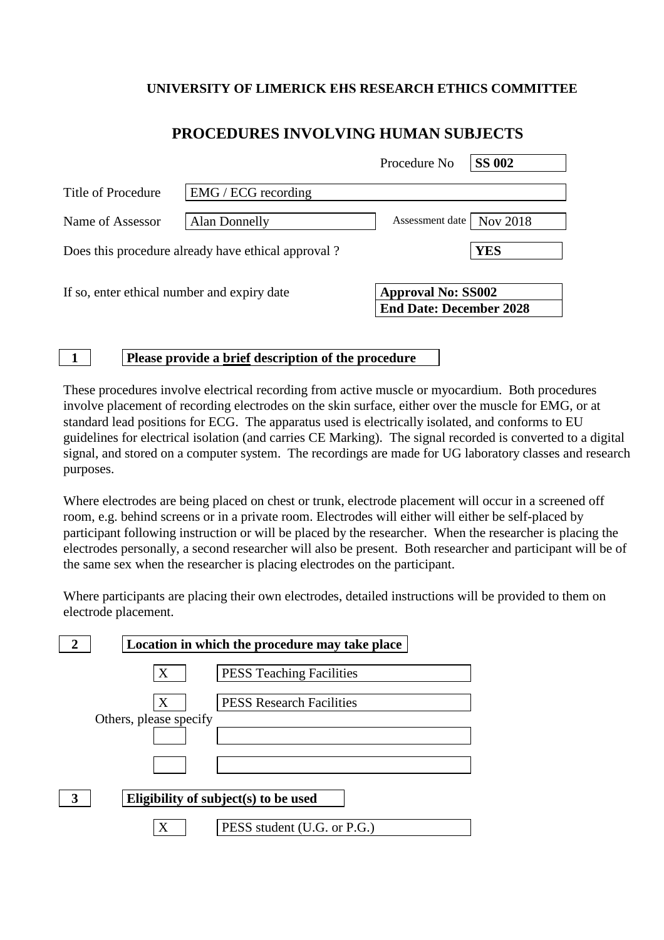## **UNIVERSITY OF LIMERICK EHS RESEARCH ETHICS COMMITTEE**

|  |  | PROCEDURES INVOLVING HUMAN SUBJECTS |
|--|--|-------------------------------------|
|--|--|-------------------------------------|

|                                                    |                       | Procedure No                                                | <b>SS 002</b> |
|----------------------------------------------------|-----------------------|-------------------------------------------------------------|---------------|
| Title of Procedure                                 | $EMG / ECG$ recording |                                                             |               |
| Name of Assessor                                   | <b>Alan Donnelly</b>  | Assessment date                                             | Nov 2018      |
| Does this procedure already have ethical approval? |                       |                                                             | <b>YES</b>    |
| If so, enter ethical number and expiry date        |                       | <b>Approval No: SS002</b><br><b>End Date: December 2028</b> |               |

## **1 Please provide a brief description of the procedure**

These procedures involve electrical recording from active muscle or myocardium. Both procedures involve placement of recording electrodes on the skin surface, either over the muscle for EMG, or at standard lead positions for ECG. The apparatus used is electrically isolated, and conforms to EU guidelines for electrical isolation (and carries CE Marking). The signal recorded is converted to a digital signal, and stored on a computer system. The recordings are made for UG laboratory classes and research purposes.

Where electrodes are being placed on chest or trunk, electrode placement will occur in a screened off room, e.g. behind screens or in a private room. Electrodes will either will either be self-placed by participant following instruction or will be placed by the researcher. When the researcher is placing the electrodes personally, a second researcher will also be present. Both researcher and participant will be of the same sex when the researcher is placing electrodes on the participant.

Where participants are placing their own electrodes, detailed instructions will be provided to them on electrode placement.

|                                           | Location in which the procedure may take place |                                 |  |  |
|-------------------------------------------|------------------------------------------------|---------------------------------|--|--|
|                                           | X                                              | <b>PESS Teaching Facilities</b> |  |  |
|                                           | X                                              | <b>PESS Research Facilities</b> |  |  |
|                                           | Others, please specify                         |                                 |  |  |
|                                           |                                                |                                 |  |  |
| Eligibility of subject(s) to be used<br>3 |                                                |                                 |  |  |
|                                           |                                                | PESS student (U.G. or P.G.)     |  |  |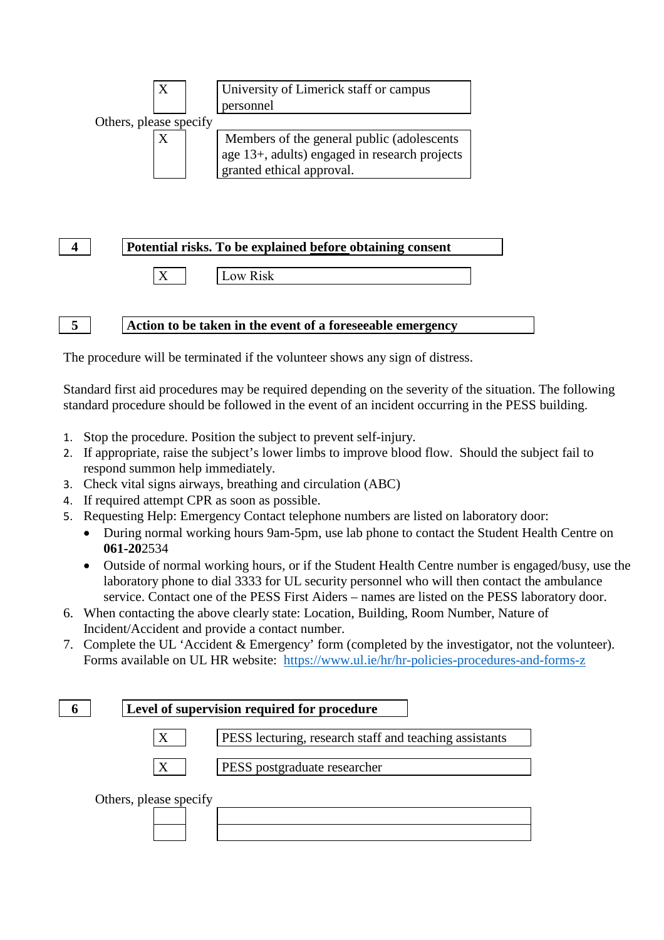

## **4 Potential risks. To be explained before obtaining consent** X Low Risk

**5 Action to be taken in the event of a foreseeable emergency**

The procedure will be terminated if the volunteer shows any sign of distress.

Standard first aid procedures may be required depending on the severity of the situation. The following standard procedure should be followed in the event of an incident occurring in the PESS building.

- 1. Stop the procedure. Position the subject to prevent self-injury.
- 2. If appropriate, raise the subject's lower limbs to improve blood flow. Should the subject fail to respond summon help immediately.
- 3. Check vital signs airways, breathing and circulation (ABC)
- 4. If required attempt CPR as soon as possible.
- 5. Requesting Help: Emergency Contact telephone numbers are listed on laboratory door:
	- During normal working hours 9am-5pm, use lab phone to contact the Student Health Centre on **061-20**2534
	- Outside of normal working hours, or if the Student Health Centre number is engaged/busy, use the laboratory phone to dial 3333 for UL security personnel who will then contact the ambulance service. Contact one of the PESS First Aiders – names are listed on the PESS laboratory door.
- 6. When contacting the above clearly state: Location, Building, Room Number, Nature of Incident/Accident and provide a contact number.
- 7. Complete the UL 'Accident & Emergency' form (completed by the investigator, not the volunteer). Forms available on UL HR website: <https://www.ul.ie/hr/hr-policies-procedures-and-forms-z>

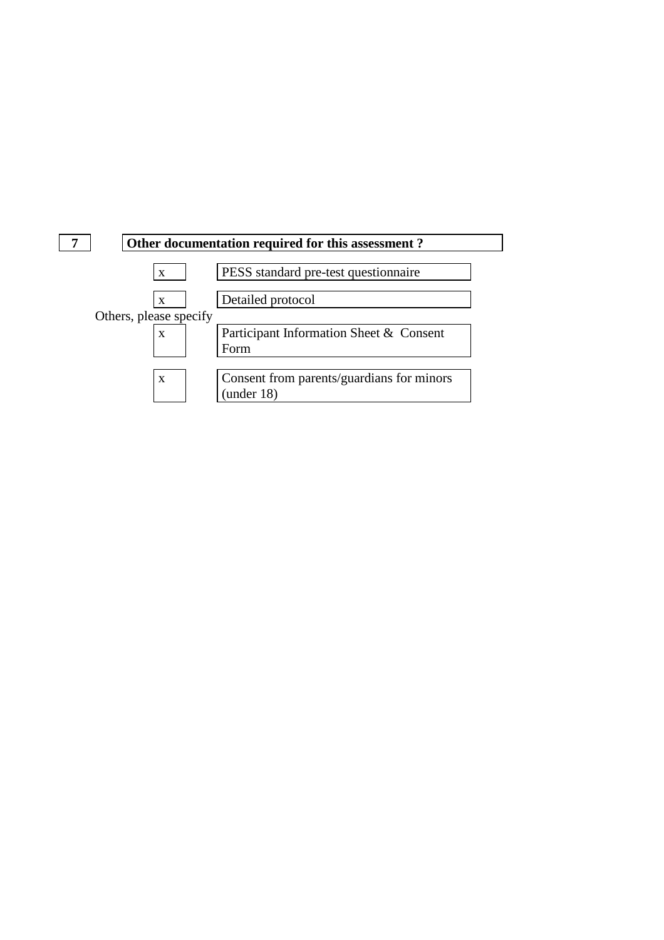